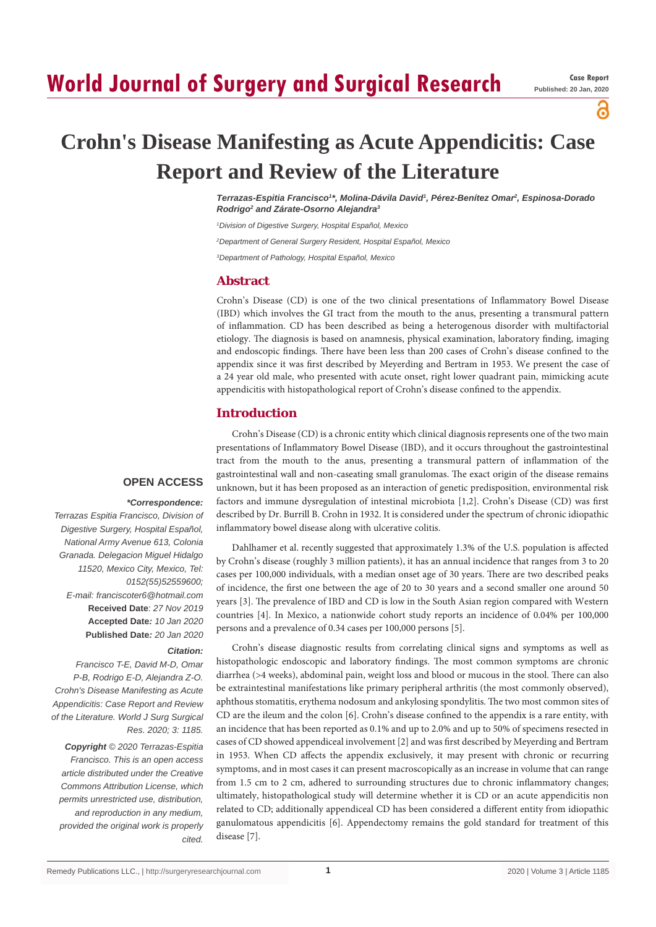# **World Journal of Surgery and Surgical Research**

ဥ

# **Crohn's Disease Manifesting as Acute Appendicitis: Case Report and Review of the Literature**

*Terrazas-Espitia Francisco1 \*, Molina-Dávila David1 , Pérez-Benítez Omar2 , Espinosa-Dorado Rodrigo2 and Zárate-Osorno Alejandra3*

*1 Division of Digestive Surgery, Hospital Español, Mexico*

*2 Department of General Surgery Resident, Hospital Español, Mexico*

*3 Department of Pathology, Hospital Español, Mexico*

#### **Abstract**

Crohn's Disease (CD) is one of the two clinical presentations of Inflammatory Bowel Disease (IBD) which involves the GI tract from the mouth to the anus, presenting a transmural pattern of inflammation. CD has been described as being a heterogenous disorder with multifactorial etiology. The diagnosis is based on anamnesis, physical examination, laboratory finding, imaging and endoscopic findings. There have been less than 200 cases of Crohn's disease confined to the appendix since it was first described by Meyerding and Bertram in 1953. We present the case of a 24 year old male, who presented with acute onset, right lower quadrant pain, mimicking acute appendicitis with histopathological report of Crohn's disease confined to the appendix.

Crohn's Disease (CD) is a chronic entity which clinical diagnosis represents one of the two main

## **Introduction**

presentations of Inflammatory Bowel Disease (IBD), and it occurs throughout the gastrointestinal tract from the mouth to the anus, presenting a transmural pattern of inflammation of the gastrointestinal wall and non-caseating small granulomas. The exact origin of the disease remains unknown, but it has been proposed as an interaction of genetic predisposition, environmental risk factors and immune dysregulation of intestinal microbiota [1,2]. Crohn's Disease (CD) was first described by Dr. Burrill B. Crohn in 1932. It is considered under the spectrum of chronic idiopathic

### **OPEN ACCESS**

#### *\*Correspondence:*

*Terrazas Espitia Francisco, Division of Digestive Surgery, Hospital Español, National Army Avenue 613, Colonia Granada. Delegacion Miguel Hidalgo 11520, Mexico City, Mexico, Tel: 0152(55)52559600; E-mail: franciscoter6@hotmail.com* **Received Date**: *27 Nov 2019* **Accepted Date***: 10 Jan 2020* **Published Date***: 20 Jan 2020*

#### *Citation:*

*Francisco T-E, David M-D, Omar P-B, Rodrigo E-D, Alejandra Z-O. Crohn's Disease Manifesting as Acute Appendicitis: Case Report and Review of the Literature. World J Surg Surgical Res. 2020; 3: 1185.*

*Copyright © 2020 Terrazas-Espitia Francisco. This is an open access article distributed under the Creative Commons Attribution License, which permits unrestricted use, distribution, and reproduction in any medium, provided the original work is properly cited.*

inflammatory bowel disease along with ulcerative colitis. Dahlhamer et al. recently suggested that approximately 1.3% of the U.S. population is affected by Crohn's disease (roughly 3 million patients), it has an annual incidence that ranges from 3 to 20 cases per 100,000 individuals, with a median onset age of 30 years. There are two described peaks of incidence, the first one between the age of 20 to 30 years and a second smaller one around 50 years [3]. The prevalence of IBD and CD is low in the South Asian region compared with Western countries [4]. In Mexico, a nationwide cohort study reports an incidence of 0.04% per 100,000

Crohn's disease diagnostic results from correlating clinical signs and symptoms as well as histopathologic endoscopic and laboratory findings. The most common symptoms are chronic diarrhea (>4 weeks), abdominal pain, weight loss and blood or mucous in the stool. There can also be extraintestinal manifestations like primary peripheral arthritis (the most commonly observed), aphthous stomatitis, erythema nodosum and ankylosing spondylitis. The two most common sites of CD are the ileum and the colon [6]. Crohn's disease confined to the appendix is a rare entity, with an incidence that has been reported as 0.1% and up to 2.0% and up to 50% of specimens resected in cases of CD showed appendiceal involvement [2] and was first described by Meyerding and Bertram in 1953. When CD affects the appendix exclusively, it may present with chronic or recurring symptoms, and in most cases it can present macroscopically as an increase in volume that can range from 1.5 cm to 2 cm, adhered to surrounding structures due to chronic inflammatory changes; ultimately, histopathological study will determine whether it is CD or an acute appendicitis non related to CD; additionally appendiceal CD has been considered a different entity from idiopathic ganulomatous appendicitis [6]. Appendectomy remains the gold standard for treatment of this disease [7].

persons and a prevalence of 0.34 cases per 100,000 persons [5].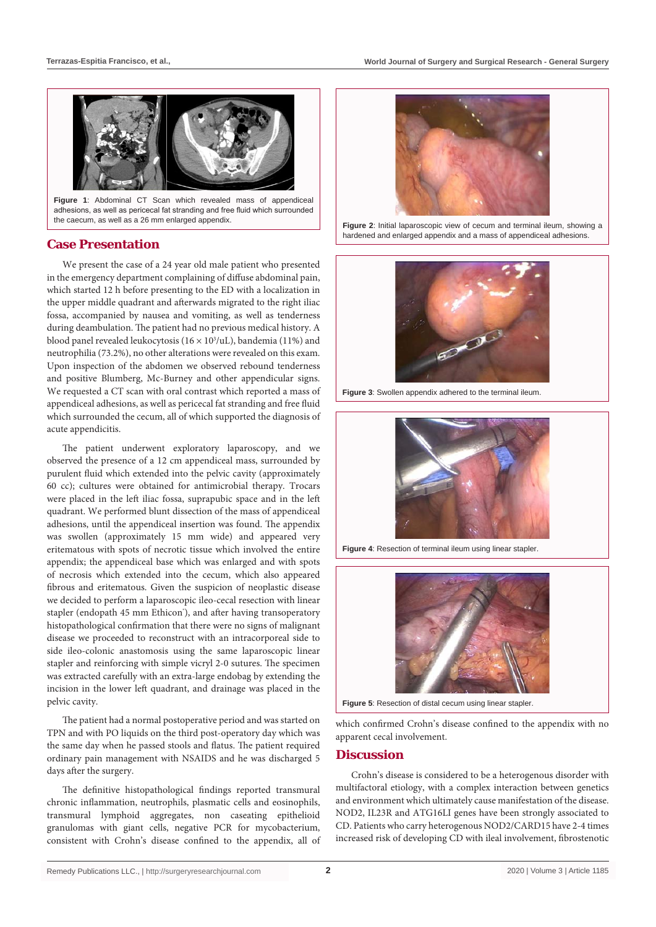

**Figure 1**: Abdominal CT Scan which revealed mass of appendiceal adhesions, as well as pericecal fat stranding and free fluid which surrounded the caecum, as well as a 26 mm enlarged appendix.

# **Case Presentation**

We present the case of a 24 year old male patient who presented in the emergency department complaining of diffuse abdominal pain, which started 12 h before presenting to the ED with a localization in the upper middle quadrant and afterwards migrated to the right iliac fossa, accompanied by nausea and vomiting, as well as tenderness during deambulation. The patient had no previous medical history. A blood panel revealed leukocytosis ( $16 \times 10^3/\text{uL}$ ), bandemia (11%) and neutrophilia (73.2%), no other alterations were revealed on this exam. Upon inspection of the abdomen we observed rebound tenderness and positive Blumberg, Mc-Burney and other appendicular signs. We requested a CT scan with oral contrast which reported a mass of appendiceal adhesions, as well as pericecal fat stranding and free fluid which surrounded the cecum, all of which supported the diagnosis of acute appendicitis.

The patient underwent exploratory laparoscopy, and we observed the presence of a 12 cm appendiceal mass, surrounded by purulent fluid which extended into the pelvic cavity (approximately 60 cc); cultures were obtained for antimicrobial therapy. Trocars were placed in the left iliac fossa, suprapubic space and in the left quadrant. We performed blunt dissection of the mass of appendiceal adhesions, until the appendiceal insertion was found. The appendix was swollen (approximately 15 mm wide) and appeared very eritematous with spots of necrotic tissue which involved the entire appendix; the appendiceal base which was enlarged and with spots of necrosis which extended into the cecum, which also appeared fibrous and eritematous. Given the suspicion of neoplastic disease we decided to perform a laparoscopic ileo-cecal resection with linear stapler (endopath 45 mm Ethicon<sup>\*</sup>), and after having transoperatory histopathological confirmation that there were no signs of malignant disease we proceeded to reconstruct with an intracorporeal side to side ileo-colonic anastomosis using the same laparoscopic linear stapler and reinforcing with simple vicryl 2-0 sutures. The specimen was extracted carefully with an extra-large endobag by extending the incision in the lower left quadrant, and drainage was placed in the pelvic cavity.

The patient had a normal postoperative period and was started on TPN and with PO liquids on the third post-operatory day which was the same day when he passed stools and flatus. The patient required ordinary pain management with NSAIDS and he was discharged 5 days after the surgery.

The definitive histopathological findings reported transmural chronic inflammation, neutrophils, plasmatic cells and eosinophils, transmural lymphoid aggregates, non caseating epithelioid granulomas with giant cells, negative PCR for mycobacterium, consistent with Crohn's disease confined to the appendix, all of



Figure 2: Initial laparoscopic view of cecum and terminal ileum, showing a hardened and enlarged appendix and a mass of appendiceal adhesions.



**Figure 3**: Swollen appendix adhered to the terminal ileum.



**Figure 4**: Resection of terminal ileum using linear stapler.



**Figure 5**: Resection of distal cecum using linear stapler.

which confirmed Crohn's disease confined to the appendix with no apparent cecal involvement.

# **Discussion**

Crohn's disease is considered to be a heterogenous disorder with multifactoral etiology, with a complex interaction between genetics and environment which ultimately cause manifestation of the disease. NOD2, IL23R and ATG16LI genes have been strongly associated to CD. Patients who carry heterogenous NOD2/CARD15 have 2-4 times increased risk of developing CD with ileal involvement, fibrostenotic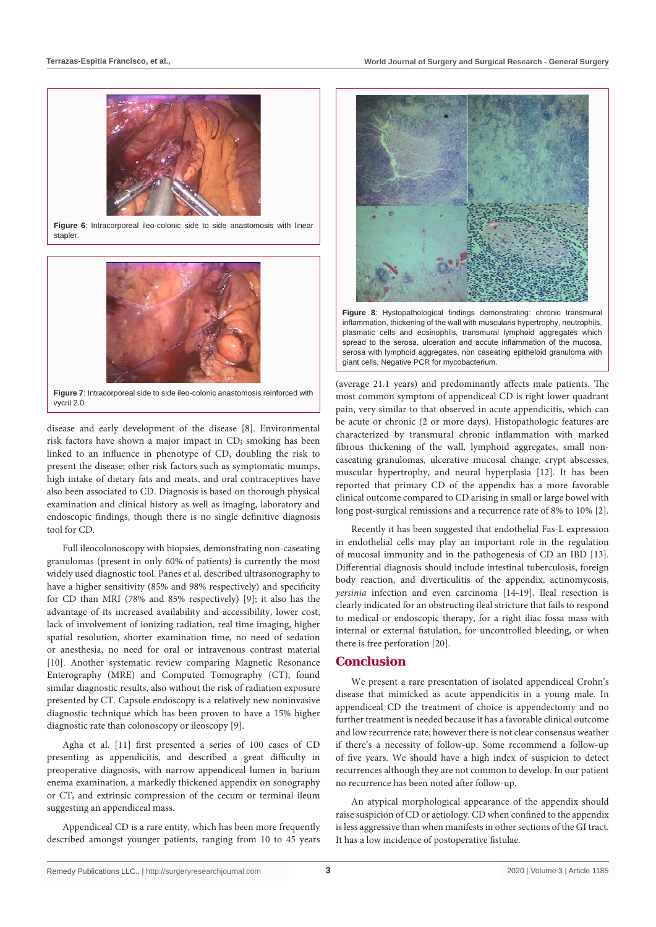

**Figure 6**: Intracorporeal ileo-colonic side to side anastomosis with linear stapler.



**Figure 7**: Intracorporeal side to side ileo-colonic anastomosis reinforced with vycril 2.0.

disease and early development of the disease [8]. Environmental risk factors have shown a major impact in CD; smoking has been linked to an influence in phenotype of CD, doubling the risk to present the disease; other risk factors such as symptomatic mumps, high intake of dietary fats and meats, and oral contraceptives have also been associated to CD. Diagnosis is based on thorough physical examination and clinical history as well as imaging, laboratory and endoscopic findings, though there is no single definitive diagnosis tool for CD.

Full ileocolonoscopy with biopsies, demonstrating non-caseating granulomas (present in only 60% of patients) is currently the most widely used diagnostic tool. Panes et al. described ultrasonography to have a higher sensitivity (85% and 98% respectively) and specificity for CD than MRI (78% and 85% respectively) [9]; it also has the advantage of its increased availability and accessibility, lower cost, lack of involvement of ionizing radiation, real time imaging, higher spatial resolution, shorter examination time, no need of sedation or anesthesia, no need for oral or intravenous contrast material [10]. Another systematic review comparing Magnetic Resonance Enterography (MRE) and Computed Tomography (CT), found similar diagnostic results, also without the risk of radiation exposure presented by CT. Capsule endoscopy is a relatively new noninvasive diagnostic technique which has been proven to have a 15% higher diagnostic rate than colonoscopy or ileoscopy [9].

Agha et al. [11] first presented a series of 100 cases of CD presenting as appendicitis, and described a great difficulty in preoperative diagnosis, with narrow appendiceal lumen in barium enema examination, a markedly thickened appendix on sonography or CT, and extrinsic compression of the cecum or terminal ileum suggesting an appendiceal mass.

Appendiceal CD is a rare entity, which has been more frequently described amongst younger patients, ranging from 10 to 45 years



**Figure 8**: Hystopathological findings demonstrating: chronic transmural inflammation, thickening of the wall with muscularis hypertrophy, neutrophils, plasmatic cells and eosinophils, transmural lymphoid aggregates which spread to the serosa, ulceration and accute inflammation of the mucosa, serosa with lymphoid aggregates, non caseating epitheloid granuloma with giant cells, Negative PCR for mycobacterium.

(average 21.1 years) and predominantly affects male patients. The most common symptom of appendiceal CD is right lower quadrant pain, very similar to that observed in acute appendicitis, which can be acute or chronic (2 or more days). Histopathologic features are characterized by transmural chronic inflammation with marked fibrous thickening of the wall, lymphoid aggregates, small noncaseating granulomas, ulcerative mucosal change, crypt abscesses, muscular hypertrophy, and neural hyperplasia [12]. It has been reported that primary CD of the appendix has a more favorable clinical outcome compared to CD arising in small or large bowel with long post-surgical remissions and a recurrence rate of 8% to 10% [2].

Recently it has been suggested that endothelial Fas-L expression in endothelial cells may play an important role in the regulation of mucosal immunity and in the pathogenesis of CD an IBD [13]. Differential diagnosis should include intestinal tuberculosis, foreign body reaction, and diverticulitis of the appendix, actinomycosis, *yersinia* infection and even carcinoma [14-19]. Ileal resection is clearly indicated for an obstructing ileal stricture that fails to respond to medical or endoscopic therapy, for a right iliac fossa mass with internal or external fistulation, for uncontrolled bleeding, or when there is free perforation [20].

### **Conclusion**

We present a rare presentation of isolated appendiceal Crohn's disease that mimicked as acute appendicitis in a young male. In appendiceal CD the treatment of choice is appendectomy and no further treatment is needed because it has a favorable clinical outcome and low recurrence rate; however there is not clear consensus weather if there's a necessity of follow-up. Some recommend a follow-up of five years. We should have a high index of suspicion to detect recurrences although they are not common to develop. In our patient no recurrence has been noted after follow-up.

An atypical morphological appearance of the appendix should raise suspicion of CD or aetiology. CD when confined to the appendix is less aggressive than when manifests in other sections of the GI tract. It has a low incidence of postoperative fistulae.